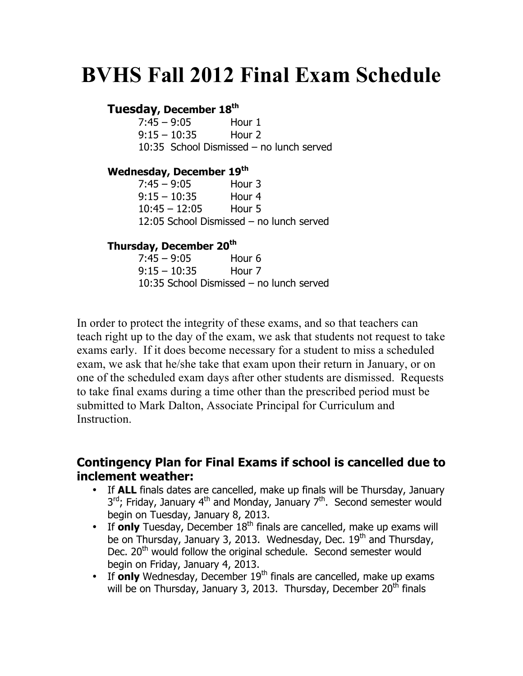# **BVHS Fall 2012 Final Exam Schedule**

## **Tuesday, December 18th**

| $7:45 - 9:05$  | Hour 1 |                                          |
|----------------|--------|------------------------------------------|
| $9:15 - 10:35$ | Hour 2 |                                          |
|                |        | 10:35 School Dismissed – no lunch served |

#### **Wednesday, December 19th**

| 7:45 – 9:05     | Hour 3                                   |
|-----------------|------------------------------------------|
| 9:15 – 10:35    | Hour 4                                   |
| $10:45 - 12:05$ | Hour 5                                   |
|                 | 12:05 School Dismissed - no lunch served |

### **Thursday, December 20th**

| $7:45 - 9:05$  | Hour 6                                   |  |
|----------------|------------------------------------------|--|
| $9:15 - 10:35$ | Hour 7                                   |  |
|                | 10:35 School Dismissed – no lunch served |  |

In order to protect the integrity of these exams, and so that teachers can teach right up to the day of the exam, we ask that students not request to take exams early. If it does become necessary for a student to miss a scheduled exam, we ask that he/she take that exam upon their return in January, or on one of the scheduled exam days after other students are dismissed. Requests to take final exams during a time other than the prescribed period must be submitted to Mark Dalton, Associate Principal for Curriculum and **Instruction** 

## **Contingency Plan for Final Exams if school is cancelled due to inclement weather:**

- If **ALL** finals dates are cancelled, make up finals will be Thursday, January  $3<sup>rd</sup>$ ; Friday, January 4<sup>th</sup> and Monday, January 7<sup>th</sup>. Second semester would begin on Tuesday, January 8, 2013.
- If **only** Tuesday, December 18<sup>th</sup> finals are cancelled, make up exams will be on Thursday, January 3, 2013. Wednesday, Dec.  $19<sup>th</sup>$  and Thursday, Dec. 20<sup>th</sup> would follow the original schedule. Second semester would begin on Friday, January 4, 2013.
- If **only** Wednesday, December 19<sup>th</sup> finals are cancelled, make up exams will be on Thursday, January 3, 2013. Thursday, December 20<sup>th</sup> finals